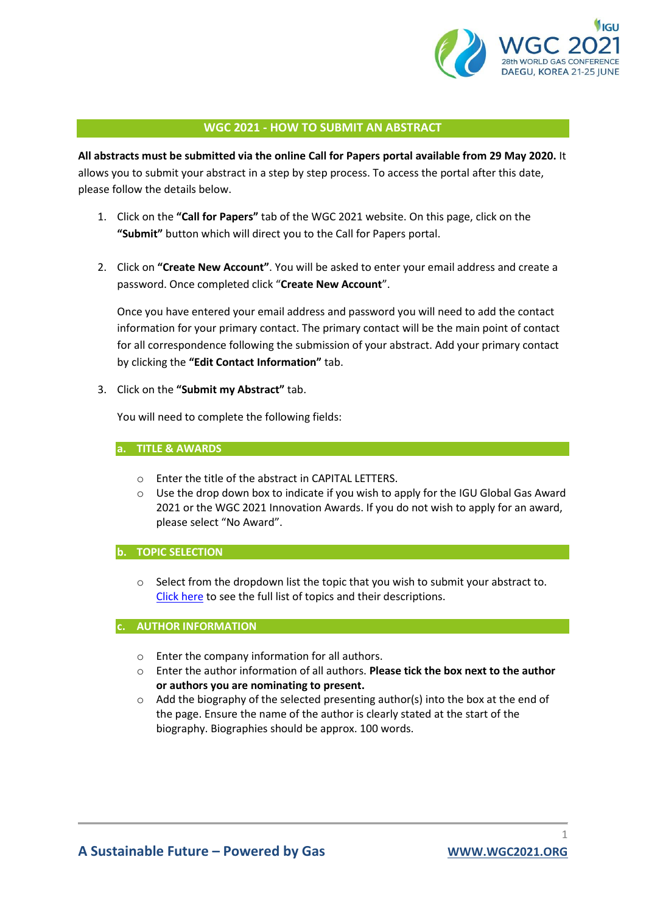

# **WGC 2021 - HOW TO SUBMIT AN ABSTRACT**

**All abstracts must be submitted via the online Call for Papers portal available from 29 May 2020.** It allows you to submit your abstract in a step by step process. To access the portal after this date, please follow the details below.

- 1. Click on the **"Call for Papers"** tab of the WGC 2021 website. On this page, click on the **"Submit"** button which will direct you to the Call for Papers portal.
- 2. Click on **"Create New Account"**. You will be asked to enter your email address and create a password. Once completed click "**Create New Account**".

Once you have entered your email address and password you will need to add the contact information for your primary contact. The primary contact will be the main point of contact for all correspondence following the submission of your abstract. Add your primary contact by clicking the **"Edit Contact Information"** tab.

3. Click on the **"Submit my Abstract"** tab.

You will need to complete the following fields:

### **a. TITLE & AWARDS**

- o Enter the title of the abstract in CAPITAL LETTERS.
- $\circ$  Use the drop down box to indicate if you wish to apply for the IGU Global Gas Award 2021 or the WGC 2021 Innovation Awards. If you do not wish to apply for an award, please select "No Award".

## **b. TOPIC SELECTION**

o Select from the dropdown list the topic that you wish to submit your abstract to. [Click here](https://www.wgc2021.org/call-for-papers-session-topics/) to see the full list of topics and their descriptions.

#### **c. AUTHOR INFORMATION**

- o Enter the company information for all authors.
- o Enter the author information of all authors. **Please tick the box next to the author or authors you are nominating to present.**
- o Add the biography of the selected presenting author(s) into the box at the end of the page. Ensure the name of the author is clearly stated at the start of the biography. Biographies should be approx. 100 words.

1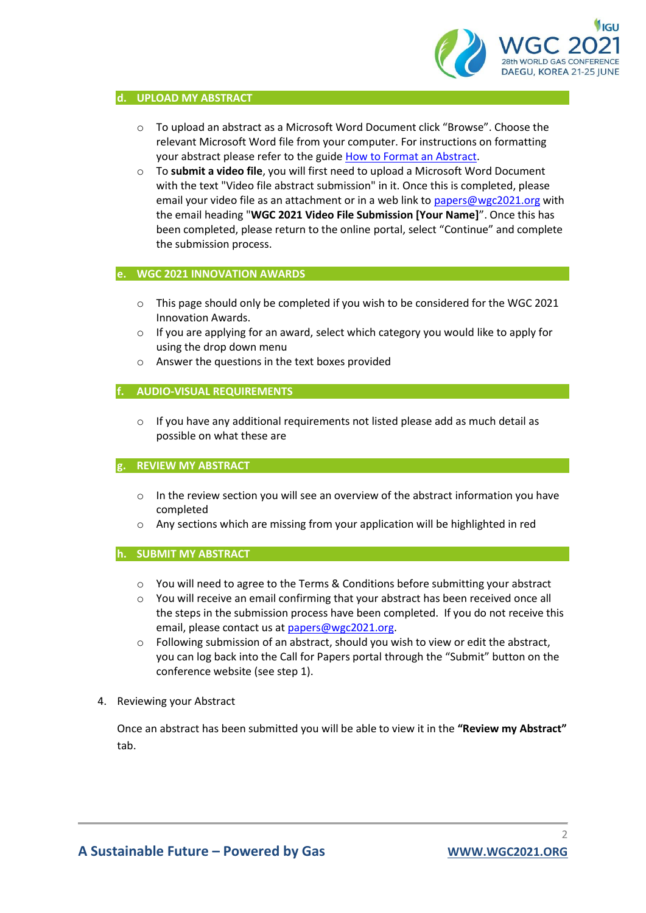

#### **d. UPLOAD MY ABSTRACT**

- o To upload an abstract as a Microsoft Word Document click "Browse". Choose the relevant Microsoft Word file from your computer. For instructions on formatting your abstract please refer to the guide [How to Format an Abstract.](https://az659834.vo.msecnd.net/eventsairwesteuprod/production-gfen-public/b45d8d1aa36a4842891324aa31593c87)
- o To **submit a video file**, you will first need to upload a Microsoft Word Document with the text "Video file abstract submission" in it. Once this is completed, please email your video file as an attachment or in a web link to [papers@wgc2021.org](mailto:papers@wgc2021.org) with the email heading "**WGC 2021 Video File Submission [Your Name]**". Once this has been completed, please return to the online portal, select "Continue" and complete the submission process.

### **e. WGC 2021 INNOVATION AWARDS**

- $\circ$  This page should only be completed if you wish to be considered for the WGC 2021 Innovation Awards.
- $\circ$  If you are applying for an award, select which category you would like to apply for using the drop down menu
- o Answer the questions in the text boxes provided

# **f. AUDIO-VISUAL REQUIREMENTS**

 $\circ$  If you have any additional requirements not listed please add as much detail as possible on what these are

### **g. REVIEW MY ABSTRACT**

- $\circ$  In the review section you will see an overview of the abstract information you have completed
- o Any sections which are missing from your application will be highlighted in red

### **h. SUBMIT MY ABSTRACT**

- o You will need to agree to the Terms & Conditions before submitting your abstract
- $\circ$  You will receive an email confirming that your abstract has been received once all the steps in the submission process have been completed. If you do not receive this email, please contact us at [papers@wgc2021.org.](mailto:papers@wgc2021.org)
- o Following submission of an abstract, should you wish to view or edit the abstract, you can log back into the Call for Papers portal through the "Submit" button on the conference website (see step 1).
- 4. Reviewing your Abstract

Once an abstract has been submitted you will be able to view it in the **"Review my Abstract"** tab.

 $\overline{\mathcal{L}}$